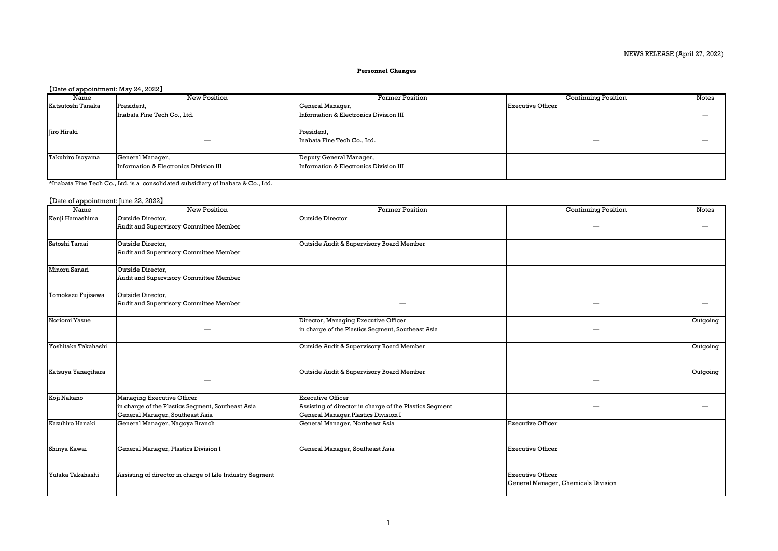## NEWS RELEASE (April 27, 2022)

## **Personnel Changes**

## 【Date of appointment: May 24, 2022】

| Name              | New Position                           | <b>Former Position</b>                 | <b>Continuing Position</b> | <b>Notes</b> |
|-------------------|----------------------------------------|----------------------------------------|----------------------------|--------------|
| Katsutoshi Tanaka | President,                             | General Manager,                       | Executive Officer          |              |
|                   | Inabata Fine Tech Co., Ltd.            | Information & Electronics Division III |                            |              |
|                   |                                        |                                        |                            |              |
| Jiro Hiraki       |                                        | President,                             |                            |              |
|                   |                                        | Inabata Fine Tech Co., Ltd.            |                            |              |
|                   |                                        |                                        |                            |              |
| Takuhiro Isoyama  | General Manager,                       | Deputy General Manager,                |                            |              |
|                   | Information & Electronics Division III | Information & Electronics Division III |                            |              |
| .                 |                                        |                                        |                            |              |

\*Inabata Fine Tech Co., Ltd. is a consolidated subsidiary of Inabata & Co., Ltd.

## 【Date of appointment: June 22, 2022】

| Name                | <b>New Position</b>                                      | <b>Former Position</b>                                  | <b>Continuing Position</b>          | <b>Notes</b> |
|---------------------|----------------------------------------------------------|---------------------------------------------------------|-------------------------------------|--------------|
| Kenji Hamashima     | Outside Director.                                        | <b>Outside Director</b>                                 |                                     |              |
|                     | Audit and Supervisory Committee Member                   |                                                         |                                     |              |
|                     |                                                          |                                                         |                                     |              |
| Satoshi Tamai       | Outside Director,                                        | Outside Audit & Supervisory Board Member                |                                     |              |
|                     | Audit and Supervisory Committee Member                   |                                                         |                                     |              |
| Minoru Sanari       | Outside Director.                                        |                                                         |                                     |              |
|                     | Audit and Supervisory Committee Member                   |                                                         |                                     |              |
| Tomokazu Fujisawa   | Outside Director,                                        |                                                         |                                     |              |
|                     | Audit and Supervisory Committee Member                   |                                                         |                                     |              |
| Noriomi Yasue       |                                                          | Director, Managing Executive Officer                    |                                     | Outgoing     |
|                     |                                                          | in charge of the Plastics Segment, Southeast Asia       |                                     |              |
|                     |                                                          |                                                         |                                     |              |
| Yoshitaka Takahashi |                                                          | Outside Audit & Supervisory Board Member                |                                     | Outgoing     |
|                     |                                                          |                                                         |                                     |              |
| Katsuya Yanagihara  |                                                          | Outside Audit & Supervisory Board Member                |                                     | Outgoing     |
|                     |                                                          |                                                         |                                     |              |
| Koji Nakano         | Managing Executive Officer                               | <b>Executive Officer</b>                                |                                     |              |
|                     | in charge of the Plastics Segment, Southeast Asia        | Assisting of director in charge of the Plastics Segment |                                     |              |
|                     | General Manager, Southeast Asia                          | General Manager, Plastics Division I                    |                                     |              |
| Kazuhiro Hanaki     | General Manager, Nagoya Branch                           | General Manager, Northeast Asia                         | <b>Executive Officer</b>            |              |
|                     |                                                          |                                                         |                                     |              |
| Shinya Kawai        | General Manager, Plastics Division I                     | General Manager, Southeast Asia                         | <b>Executive Officer</b>            |              |
|                     |                                                          |                                                         |                                     |              |
|                     |                                                          |                                                         |                                     |              |
| Yutaka Takahashi    | Assisting of director in charge of Life Industry Segment |                                                         | <b>Executive Officer</b>            |              |
|                     |                                                          |                                                         | General Manager, Chemicals Division |              |
|                     |                                                          |                                                         |                                     |              |